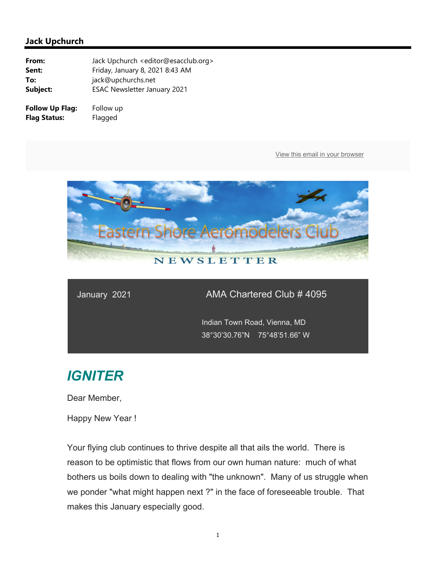

### January 2021 AMA Chartered Club # 4095

 Indian Town Road, Vienna, MD 38°30'30.76"N 75°48'51.66" W

# *IGNITER*

Dear Member,

Happy New Year !

Your flying club continues to thrive despite all that ails the world. There is reason to be optimistic that flows from our own human nature: much of what bothers us boils down to dealing with "the unknown". Many of us struggle when we ponder "what might happen next ?" in the face of foreseeable trouble. That makes this January especially good.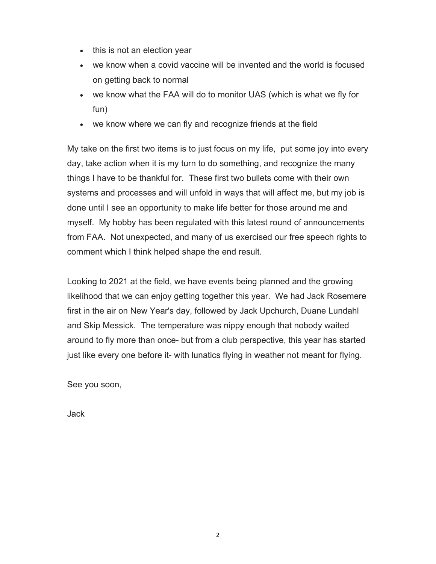- this is not an election year
- we know when a covid vaccine will be invented and the world is focused on getting back to normal
- we know what the FAA will do to monitor UAS (which is what we fly for fun)
- we know where we can fly and recognize friends at the field

My take on the first two items is to just focus on my life, put some joy into every day, take action when it is my turn to do something, and recognize the many things I have to be thankful for. These first two bullets come with their own systems and processes and will unfold in ways that will affect me, but my job is done until I see an opportunity to make life better for those around me and myself. My hobby has been regulated with this latest round of announcements from FAA. Not unexpected, and many of us exercised our free speech rights to comment which I think helped shape the end result.

Looking to 2021 at the field, we have events being planned and the growing likelihood that we can enjoy getting together this year. We had Jack Rosemere first in the air on New Year's day, followed by Jack Upchurch, Duane Lundahl and Skip Messick. The temperature was nippy enough that nobody waited around to fly more than once- but from a club perspective, this year has started just like every one before it- with lunatics flying in weather not meant for flying.

See you soon,

Jack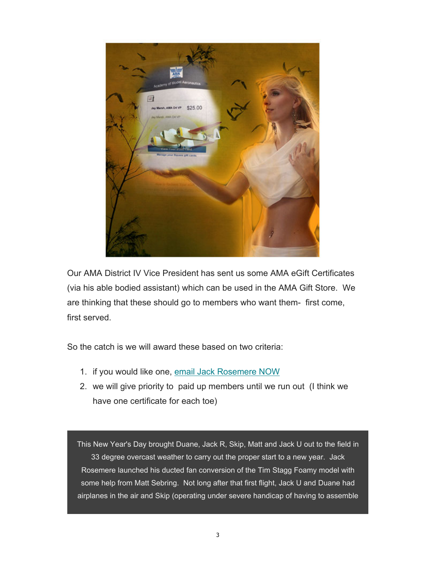

Our AMA District IV Vice President has sent us some AMA eGift Certificates (via his able bodied assistant) which can be used in the AMA Gift Store. We are thinking that these should go to members who want them- first come, first served.

So the catch is we will award these based on two criteria:

- 1. if you would like one, email Jack Rosemere NOW
- 2. we will give priority to paid up members until we run out (I think we have one certificate for each toe)

This New Year's Day brought Duane, Jack R, Skip, Matt and Jack U out to the field in 33 degree overcast weather to carry out the proper start to a new year. Jack Rosemere launched his ducted fan conversion of the Tim Stagg Foamy model with some help from Matt Sebring. Not long after that first flight, Jack U and Duane had airplanes in the air and Skip (operating under severe handicap of having to assemble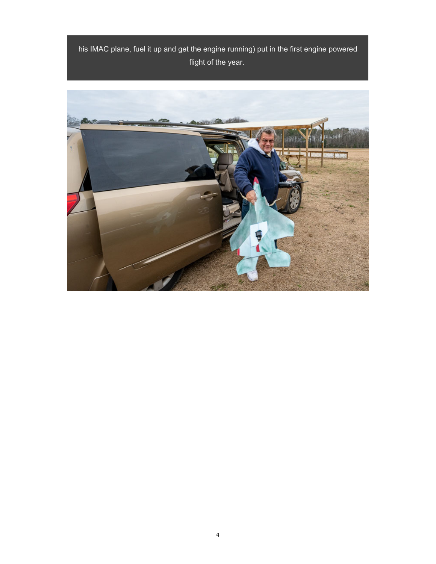his IMAC plane, fuel it up and get the engine running) put in the first engine powered flight of the year.

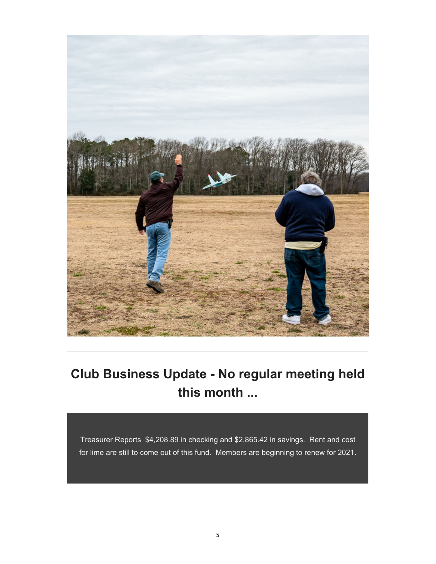

# **Club Business Update - No regular meeting held this month ...**

Treasurer Reports \$4,208.89 in checking and \$2,865.42 in savings. Rent and cost for lime are still to come out of this fund. Members are beginning to renew for 2021.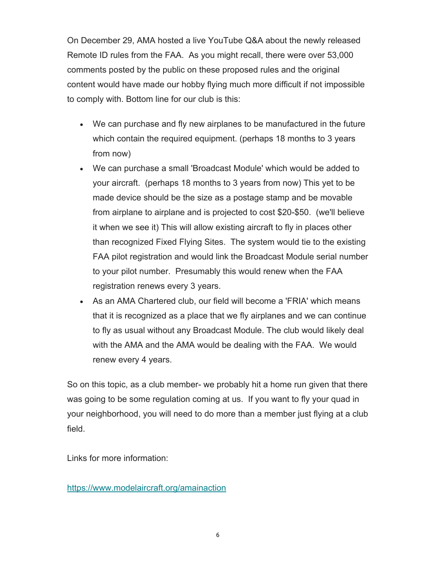On December 29, AMA hosted a live YouTube Q&A about the newly released Remote ID rules from the FAA. As you might recall, there were over 53,000 comments posted by the public on these proposed rules and the original content would have made our hobby flying much more difficult if not impossible to comply with. Bottom line for our club is this:

- We can purchase and fly new airplanes to be manufactured in the future which contain the required equipment. (perhaps 18 months to 3 years from now)
- We can purchase a small 'Broadcast Module' which would be added to your aircraft. (perhaps 18 months to 3 years from now) This yet to be made device should be the size as a postage stamp and be movable from airplane to airplane and is projected to cost \$20-\$50. (we'll believe it when we see it) This will allow existing aircraft to fly in places other than recognized Fixed Flying Sites. The system would tie to the existing FAA pilot registration and would link the Broadcast Module serial number to your pilot number. Presumably this would renew when the FAA registration renews every 3 years.
- As an AMA Chartered club, our field will become a 'FRIA' which means that it is recognized as a place that we fly airplanes and we can continue to fly as usual without any Broadcast Module. The club would likely deal with the AMA and the AMA would be dealing with the FAA. We would renew every 4 years.

So on this topic, as a club member- we probably hit a home run given that there was going to be some regulation coming at us. If you want to fly your quad in your neighborhood, you will need to do more than a member just flying at a club field.

Links for more information:

https://www.modelaircraft.org/amainaction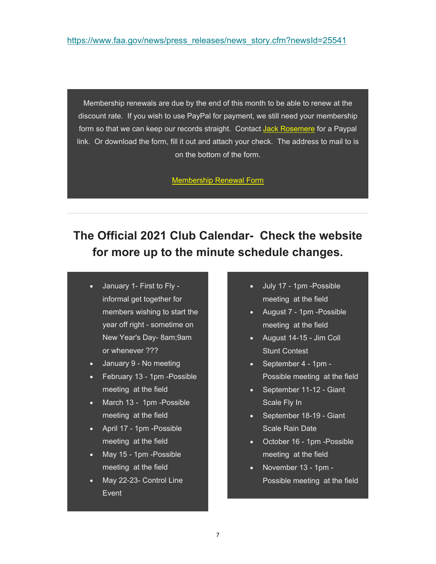Membership renewals are due by the end of this month to be able to renew at the discount rate. If you wish to use PayPal for payment, we still need your membership form so that we can keep our records straight. Contact Jack Rosemere for a Paypal link. Or download the form, fill it out and attach your check. The address to mail to is on the bottom of the form.

Membership Renewal Form

## **The Official 2021 Club Calendar- Check the website for more up to the minute schedule changes.**

- January 1- First to Fly informal get together for members wishing to start the year off right - sometime on New Year's Day- 8am;9am or whenever ???
- January 9 No meeting
- February 13 1pm -Possible meeting at the field
- March 13 1pm -Possible meeting at the field
- April 17 1pm Possible meeting at the field
- May 15 1pm -Possible meeting at the field
- May 22-23- Control Line Event
- July 17 1pm -Possible meeting at the field
- August 7 1pm -Possible meeting at the field
- August 14-15 Jim Coll Stunt Contest
- September 4 1pm Possible meeting at the field
- September 11-12 Giant Scale Fly In
- September 18-19 Giant Scale Rain Date
- October 16 1pm -Possible meeting at the field
- November 13 1pm Possible meeting at the field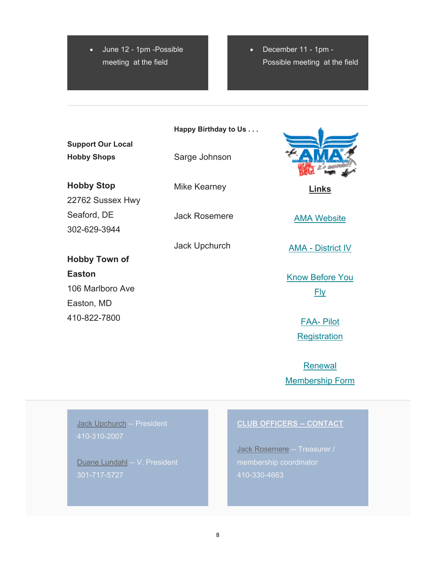June 12 - 1pm -Possible meeting at the field

• December 11 - 1pm -Possible meeting at the field

**Happy Birthday to Us . . .**

**Support Our Local Hobby Shops**

**Hobby Stop** 22762 Sussex Hwy Seaford, DE 302-629-3944

**Hobby Town of** 

106 Marlboro Ave

**Easton**

Easton, MD

410-822-7800

Sarge Johnson

Mike Kearney

Jack Rosemere

Jack Upchurch



**Links** 

AMA Website

AMA - District IV

Know Before You Fly

> FAA- Pilot **Registration**

Renewal Membership Form

Jack Upchurch -- President 410-310-2007

Duane Lundahl -- V. President 301-717-5727

#### **CLUB OFFICERS -- CONTACT**

Jack Rosemere -- Treasurer / membership coordinator 410-330-4663